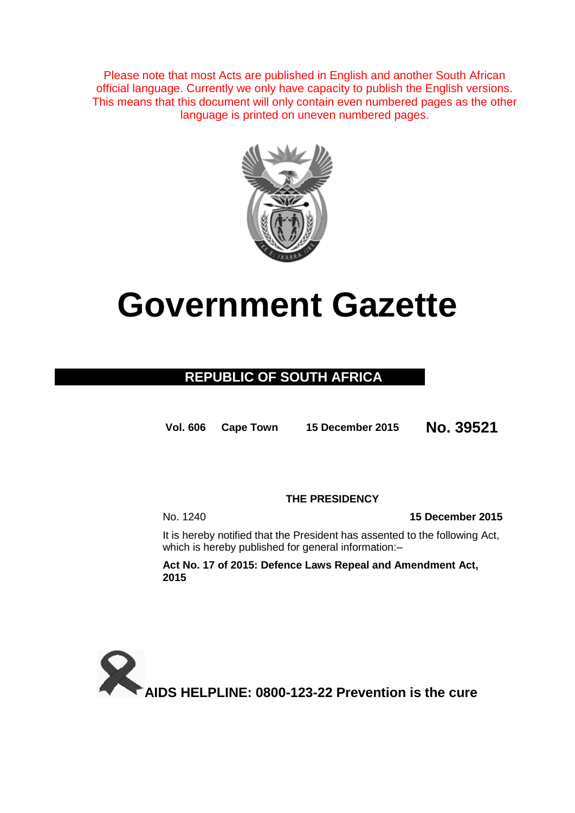Please note that most Acts are published in English and another South African official language. Currently we only have capacity to publish the English versions. This means that this document will only contain even numbered pages as the other language is printed on uneven numbered pages.



# **Government Gazette**

# **REPUBLIC OF SOUTH AFRICA**

**Vol. 606 Cape Town <sup>15</sup> December <sup>2015</sup> No. 39521**

# **THE PRESIDENCY**

No. 1240 **15 December 2015**

It is hereby notified that the President has assented to the following Act, which is hereby published for general information:-

**Act No. 17 of 2015: Defence Laws Repeal and Amendment Act, 2015**

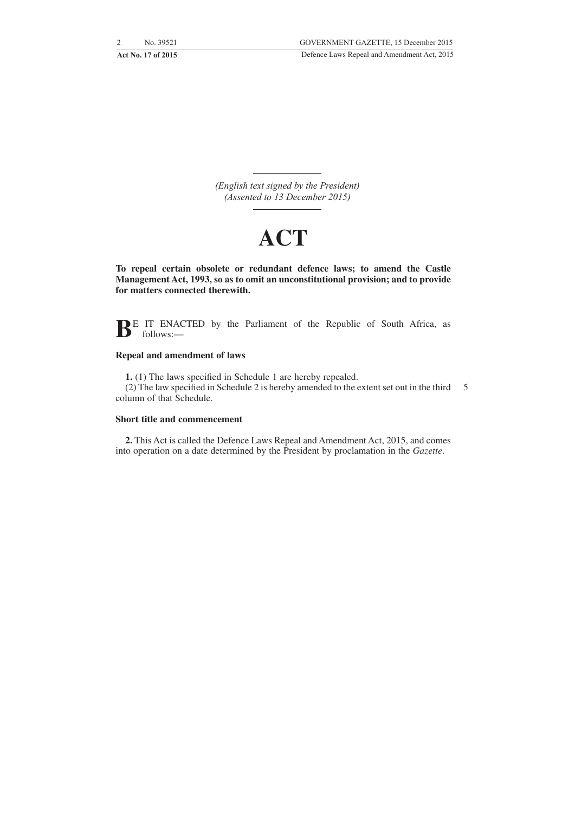*(English text signed by the President) (Assented to 13 December 2015)*

# **ACT**

**To repeal certain obsolete or redundant defence laws; to amend the Castle Management Act, 1993, so as to omit an unconstitutional provision; and to provide for matters connected therewith.**

**BE** IT ENACTED by the Parliament of the Republic of South Africa, as follows:—

#### **Repeal and amendment of laws**

**1.** (1) The laws specified in Schedule 1 are hereby repealed. (2) The law specified in Schedule 2 is hereby amended to the extent set out in the third 5 column of that Schedule.

#### **Short title and commencement**

**2.** This Act is called the Defence Laws Repeal and Amendment Act, 2015, and comes into operation on a date determined by the President by proclamation in the *Gazette*.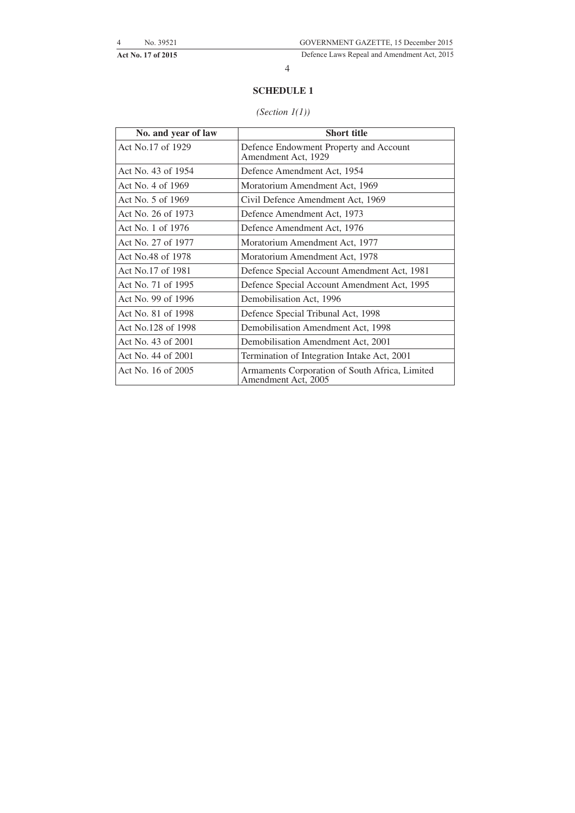**Act No. 17 of 2015** Defence Laws Repeal and Amendment Act, 2015

4

## **SCHEDULE 1**

## *(Section 1(1))*

| No. and year of law | <b>Short title</b>                                                    |  |
|---------------------|-----------------------------------------------------------------------|--|
| Act No.17 of 1929   | Defence Endowment Property and Account<br>Amendment Act, 1929         |  |
| Act No. 43 of 1954  | Defence Amendment Act, 1954                                           |  |
| Act No. 4 of 1969   | Moratorium Amendment Act, 1969                                        |  |
| Act No. 5 of 1969   | Civil Defence Amendment Act, 1969                                     |  |
| Act No. 26 of 1973  | Defence Amendment Act, 1973                                           |  |
| Act No. 1 of 1976   | Defence Amendment Act, 1976                                           |  |
| Act No. 27 of 1977  | Moratorium Amendment Act, 1977                                        |  |
| Act No.48 of 1978   | Moratorium Amendment Act, 1978                                        |  |
| Act No.17 of 1981   | Defence Special Account Amendment Act, 1981                           |  |
| Act No. 71 of 1995  | Defence Special Account Amendment Act, 1995                           |  |
| Act No. 99 of 1996  | Demobilisation Act, 1996                                              |  |
| Act No. 81 of 1998  | Defence Special Tribunal Act, 1998                                    |  |
| Act No.128 of 1998  | Demobilisation Amendment Act, 1998                                    |  |
| Act No. 43 of 2001  | Demobilisation Amendment Act, 2001                                    |  |
| Act No. 44 of 2001  | Termination of Integration Intake Act, 2001                           |  |
| Act No. 16 of 2005  | Armaments Corporation of South Africa, Limited<br>Amendment Act, 2005 |  |